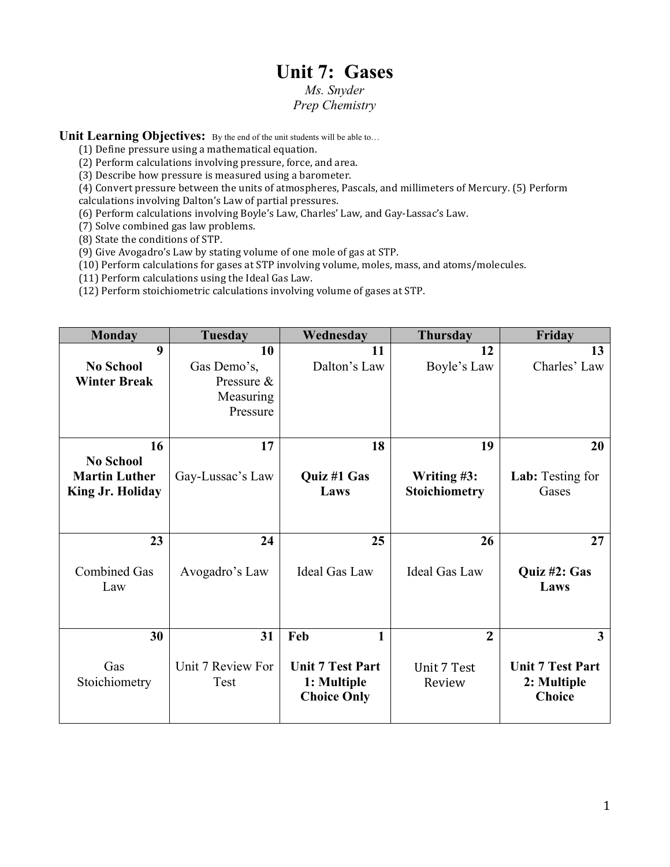# **Unit 7: Gases**

## *Ms. Snyder Prep Chemistry*

Unit Learning Objectives: By the end of the unit students will be able to...

 $(1)$  Define pressure using a mathematical equation.

(2) Perform calculations involving pressure, force, and area.

 $(3)$  Describe how pressure is measured using a barometer.

 $(4)$  Convert pressure between the units of atmospheres, Pascals, and millimeters of Mercury. (5) Perform

calculations involving Dalton's Law of partial pressures.

(6) Perform calculations involving Boyle's Law, Charles' Law, and Gay-Lassac's Law.

(7) Solve combined gas law problems.

(8) State the conditions of STP.

(9) Give Avogadro's Law by stating volume of one mole of gas at STP.

(10) Perform calculations for gases at STP involving volume, moles, mass, and atoms/molecules.

(11) Perform calculations using the Ideal Gas Law.

(12) Perform stoichiometric calculations involving volume of gases at STP.

| <b>Monday</b>                                         | <b>Tuesday</b>                                    | Wednesday                                | <b>Thursday</b>                        | Friday                                                                           |
|-------------------------------------------------------|---------------------------------------------------|------------------------------------------|----------------------------------------|----------------------------------------------------------------------------------|
| 9                                                     | 10                                                | 11                                       | 12                                     | 13                                                                               |
| <b>No School</b>                                      | Gas Demo's,                                       | Dalton's Law                             | Boyle's Law                            | Charles' Law                                                                     |
| <b>Winter Break</b>                                   | Pressure &                                        |                                          |                                        |                                                                                  |
|                                                       | Measuring                                         |                                          |                                        |                                                                                  |
|                                                       | Pressure                                          |                                          |                                        |                                                                                  |
|                                                       |                                                   |                                          |                                        |                                                                                  |
| 16                                                    | 17                                                | 18                                       | 19                                     | 20                                                                               |
| <b>No School</b>                                      |                                                   |                                          |                                        |                                                                                  |
| <b>Martin Luther</b>                                  | Gay-Lussac's Law                                  | Quiz #1 Gas                              | Writing #3:                            | Lab: Testing for                                                                 |
|                                                       |                                                   | Laws                                     |                                        |                                                                                  |
|                                                       |                                                   |                                          |                                        |                                                                                  |
|                                                       |                                                   |                                          |                                        |                                                                                  |
| 23                                                    | 24                                                | 25                                       | 26                                     | 27                                                                               |
|                                                       |                                                   |                                          |                                        |                                                                                  |
| <b>Combined Gas</b>                                   |                                                   | <b>Ideal Gas Law</b>                     | <b>Ideal Gas Law</b>                   |                                                                                  |
| Law                                                   |                                                   |                                          |                                        | Laws                                                                             |
|                                                       |                                                   |                                          |                                        |                                                                                  |
|                                                       |                                                   |                                          |                                        |                                                                                  |
|                                                       |                                                   | 1                                        | $\overline{2}$                         | 3                                                                                |
|                                                       |                                                   |                                          |                                        |                                                                                  |
|                                                       |                                                   | <b>Unit 7 Test Part</b>                  |                                        |                                                                                  |
|                                                       |                                                   |                                          |                                        |                                                                                  |
|                                                       |                                                   |                                          |                                        |                                                                                  |
|                                                       |                                                   |                                          |                                        |                                                                                  |
| <b>King Jr. Holiday</b><br>30<br>Gas<br>Stoichiometry | Avogadro's Law<br>31<br>Unit 7 Review For<br>Test | Feb<br>1: Multiple<br><b>Choice Only</b> | Stoichiometry<br>Unit 7 Test<br>Review | Gases<br>Quiz #2: Gas<br><b>Unit 7 Test Part</b><br>2: Multiple<br><b>Choice</b> |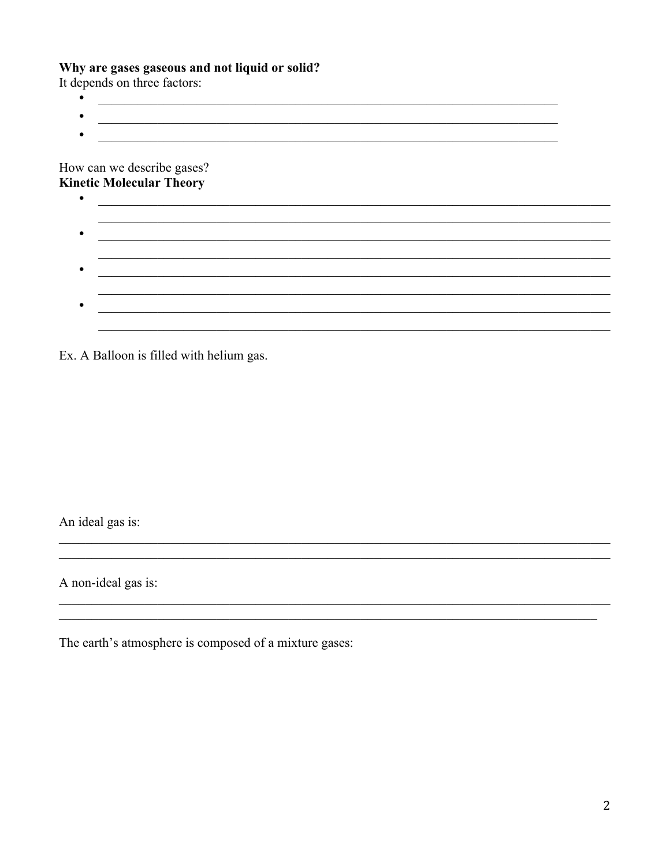## Why are gases gaseous and not liquid or solid?

It depends on three factors:  $\bullet$ 

 $\bullet$ 

<u> 1989 - Johann Stoff, deutscher Stoffen und der Stoffen und der Stoffen und der Stoffen und der Stoffen und der</u>  $\bullet$ <u> 1989 - Johann Harry Harry Harry Harry Harry Harry Harry Harry Harry Harry Harry Harry Harry Harry Harry Harry</u>

<u> 1989 - Jan Alexandria de Alexandria de la contrada de la contrada de la contrada de la contrada de la contrad</u>

How can we describe gases? **Kinetic Molecular Theory** 

<u> 1989 - Johann Stoff, amerikansk politiker (d. 1989)</u> 

Ex. A Balloon is filled with helium gas.

An ideal gas is:

A non-ideal gas is:

The earth's atmosphere is composed of a mixture gases: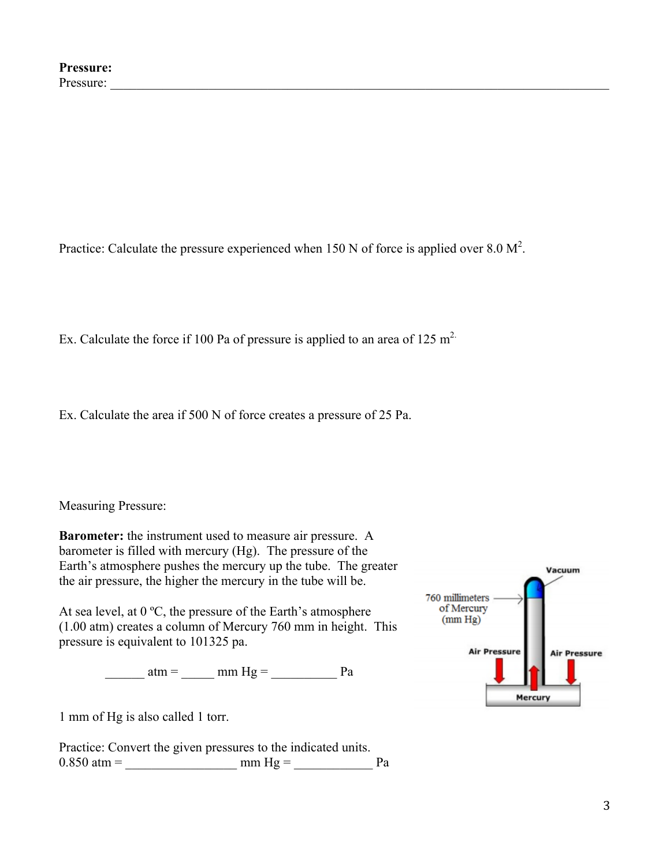Practice: Calculate the pressure experienced when 150 N of force is applied over 8.0  $M^2$ .

Ex. Calculate the force if 100 Pa of pressure is applied to an area of 125 m<sup>2</sup>.

Ex. Calculate the area if 500 N of force creates a pressure of 25 Pa.

Measuring Pressure:

**Barometer:** the instrument used to measure air pressure. A barometer is filled with mercury (Hg). The pressure of the Earth's atmosphere pushes the mercury up the tube. The greater the air pressure, the higher the mercury in the tube will be.

At sea level, at  $0^{\circ}$ C, the pressure of the Earth's atmosphere (1.00 atm) creates a column of Mercury 760 mm in height. This pressure is equivalent to 101325 pa.

 $\frac{\text{atm}}{\text{atm}} = \frac{\text{mm Hg}}{\text{mm Hg}} = \frac{\text{Pa}}{\text{m}}$ 

1 mm of Hg is also called 1 torr.

Practice: Convert the given pressures to the indicated units. 0.850 atm = \_\_\_\_\_\_\_\_\_\_\_\_\_\_\_\_\_ mm Hg = \_\_\_\_\_\_\_\_\_\_\_\_ Pa

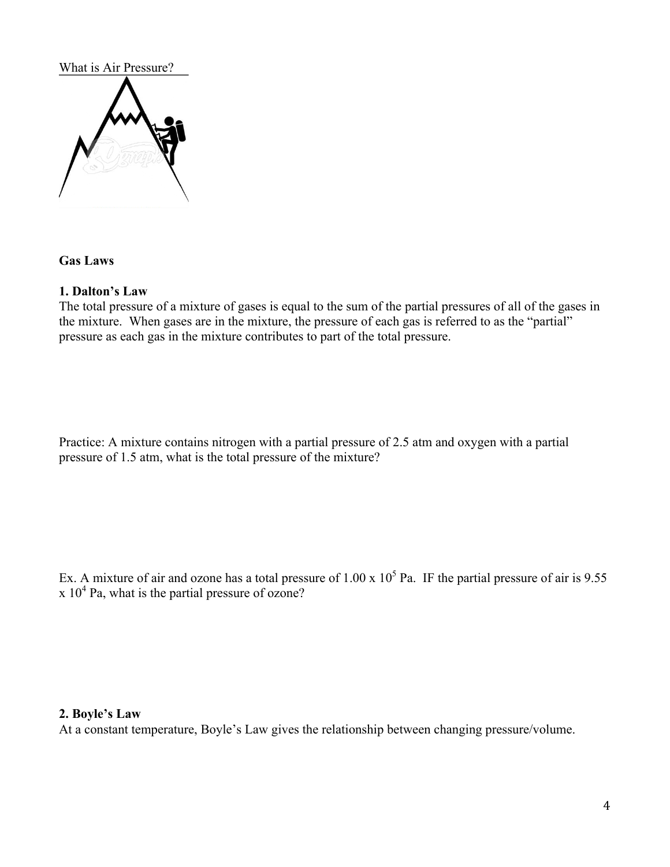#### What is Air Pressure?



## **Gas Laws**

#### **1. Dalton's Law**

The total pressure of a mixture of gases is equal to the sum of the partial pressures of all of the gases in the mixture. When gases are in the mixture, the pressure of each gas is referred to as the "partial" pressure as each gas in the mixture contributes to part of the total pressure.

Practice: A mixture contains nitrogen with a partial pressure of 2.5 atm and oxygen with a partial pressure of 1.5 atm, what is the total pressure of the mixture?

Ex. A mixture of air and ozone has a total pressure of  $1.00 \times 10^5$  Pa. IF the partial pressure of air is 9.55  $x 10<sup>4</sup>$  Pa, what is the partial pressure of ozone?

#### **2. Boyle's Law**

At a constant temperature, Boyle's Law gives the relationship between changing pressure/volume.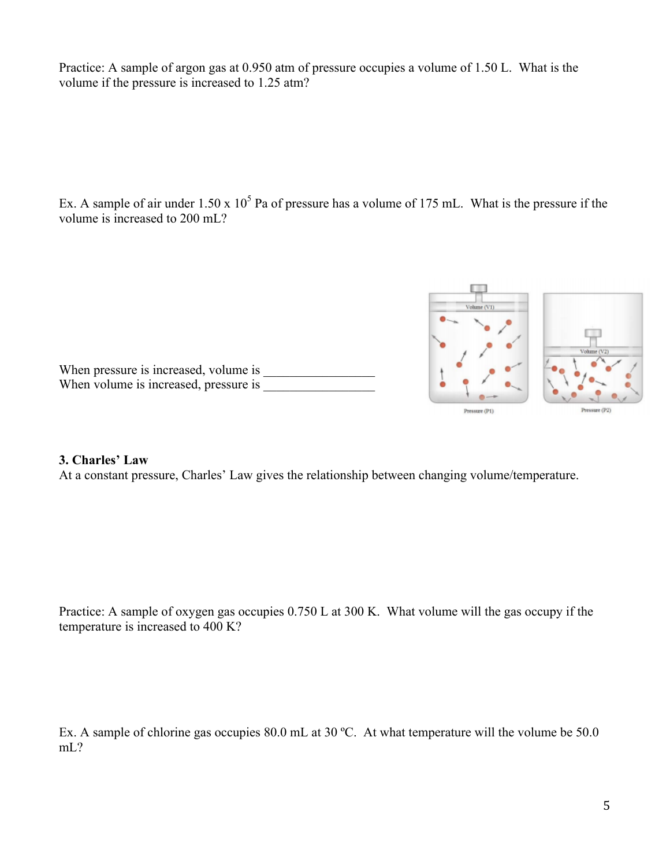Practice: A sample of argon gas at 0.950 atm of pressure occupies a volume of 1.50 L. What is the volume if the pressure is increased to 1.25 atm?

Ex. A sample of air under  $1.50 \times 10^5$  Pa of pressure has a volume of 175 mL. What is the pressure if the volume is increased to 200 mL?



## **3. Charles' Law**

At a constant pressure, Charles' Law gives the relationship between changing volume/temperature.

Practice: A sample of oxygen gas occupies 0.750 L at 300 K. What volume will the gas occupy if the temperature is increased to 400 K?

Ex. A sample of chlorine gas occupies 80.0 mL at 30 °C. At what temperature will the volume be 50.0 mL?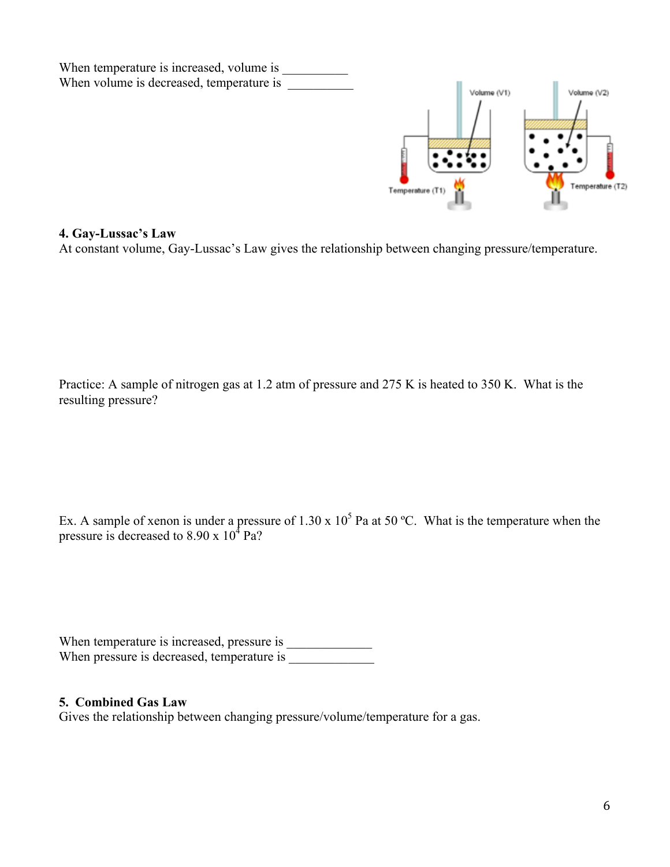

#### **4. Gay-Lussac's Law**

At constant volume, Gay-Lussac's Law gives the relationship between changing pressure/temperature.

Practice: A sample of nitrogen gas at 1.2 atm of pressure and 275 K is heated to 350 K. What is the resulting pressure?

Ex. A sample of xenon is under a pressure of 1.30 x  $10^5$  Pa at 50 °C. What is the temperature when the pressure is decreased to  $8.90 \times 10^4$  Pa?

When temperature is increased, pressure is \_\_\_\_\_\_\_\_\_\_\_\_\_ When pressure is decreased, temperature is \_\_\_\_\_\_\_\_\_\_\_\_\_

## **5. Combined Gas Law**

Gives the relationship between changing pressure/volume/temperature for a gas.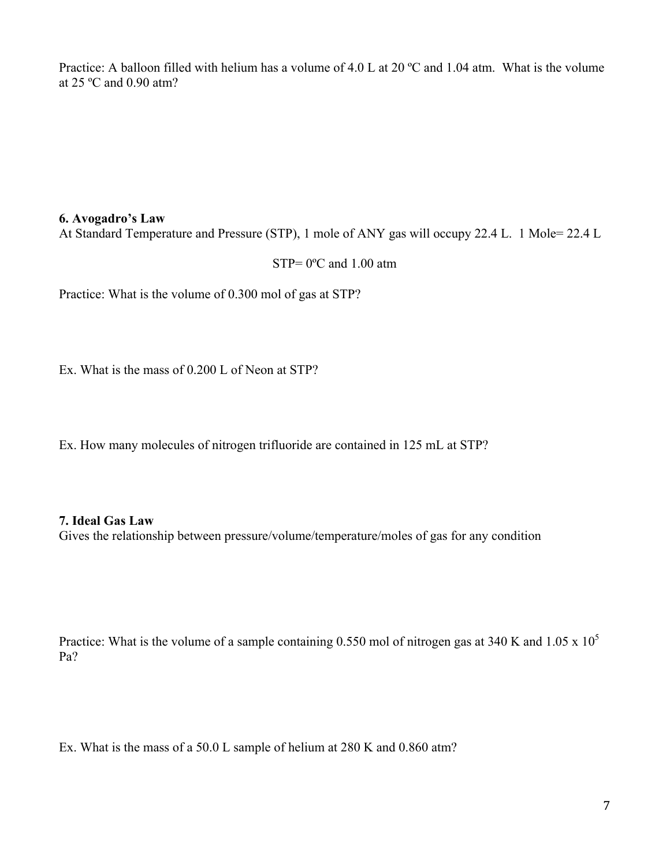Practice: A balloon filled with helium has a volume of 4.0 L at 20 °C and 1.04 atm. What is the volume at 25 ºC and 0.90 atm?

#### **6. Avogadro's Law**

At Standard Temperature and Pressure (STP), 1 mole of ANY gas will occupy 22.4 L. 1 Mole= 22.4 L

STP= 0ºC and 1.00 atm

Practice: What is the volume of 0.300 mol of gas at STP?

Ex. What is the mass of 0.200 L of Neon at STP?

Ex. How many molecules of nitrogen trifluoride are contained in 125 mL at STP?

## **7. Ideal Gas Law**

Gives the relationship between pressure/volume/temperature/moles of gas for any condition

Practice: What is the volume of a sample containing 0.550 mol of nitrogen gas at 340 K and 1.05 x 10<sup>5</sup> Pa?

Ex. What is the mass of a 50.0 L sample of helium at 280 K and 0.860 atm?